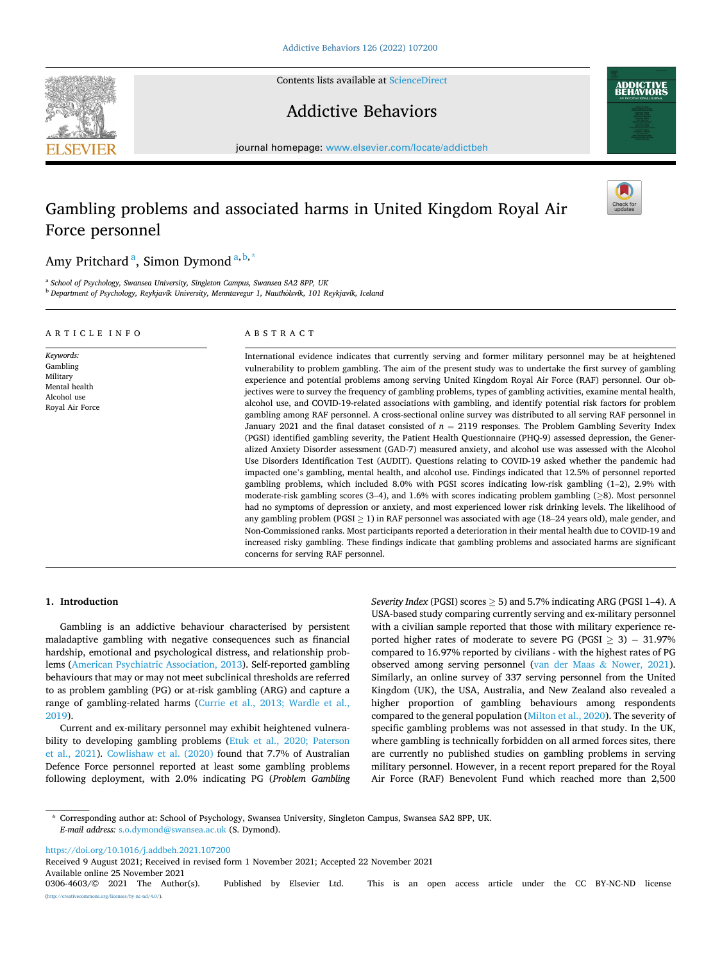Contents lists available at [ScienceDirect](www.sciencedirect.com/science/journal/03064603)

# Addictive Behaviors

journal homepage: [www.elsevier.com/locate/addictbeh](https://www.elsevier.com/locate/addictbeh) 

# Gambling problems and associated harms in United Kingdom Royal Air Force personnel

ABSTRACT

Amy Pritchard <sup>a</sup>, Simon Dymond <sup>a, b, \*</sup>

<sup>a</sup> *School of Psychology, Swansea University, Singleton Campus, Swansea SA2 8PP, UK* <sup>b</sup> *Department of Psychology, Reykjavík University, Menntavegur 1, Nautholsvík,* ´ *101 Reykjavík, Iceland* 

> International evidence indicates that currently serving and former military personnel may be at heightened vulnerability to problem gambling. The aim of the present study was to undertake the first survey of gambling experience and potential problems among serving United Kingdom Royal Air Force (RAF) personnel. Our objectives were to survey the frequency of gambling problems, types of gambling activities, examine mental health, alcohol use, and COVID-19-related associations with gambling, and identify potential risk factors for problem gambling among RAF personnel. A cross-sectional online survey was distributed to all serving RAF personnel in January 2021 and the final dataset consisted of  $n = 2119$  responses. The Problem Gambling Severity Index (PGSI) identified gambling severity, the Patient Health Questionnaire (PHQ-9) assessed depression, the Generalized Anxiety Disorder assessment (GAD-7) measured anxiety, and alcohol use was assessed with the Alcohol Use Disorders Identification Test (AUDIT). Questions relating to COVID-19 asked whether the pandemic had impacted one's gambling, mental health, and alcohol use. Findings indicated that 12.5% of personnel reported gambling problems, which included 8.0% with PGSI scores indicating low-risk gambling (1–2), 2.9% with moderate-risk gambling scores (3–4), and 1.6% with scores indicating problem gambling  $(≥8)$ . Most personnel had no symptoms of depression or anxiety, and most experienced lower risk drinking levels. The likelihood of any gambling problem (PGSI  $\geq$  1) in RAF personnel was associated with age (18–24 years old), male gender, and Non-Commissioned ranks. Most participants reported a deterioration in their mental health due to COVID-19 and increased risky gambling. These findings indicate that gambling problems and associated harms are significant concerns for serving RAF personnel.

# **1. Introduction**

Gambling is an addictive behaviour characterised by persistent maladaptive gambling with negative consequences such as financial hardship, emotional and psychological distress, and relationship problems [\(American Psychiatric Association, 2013\)](#page-6-0). Self-reported gambling behaviours that may or may not meet subclinical thresholds are referred to as problem gambling (PG) or at-risk gambling (ARG) and capture a range of gambling-related harms ([Currie et al., 2013; Wardle et al.,](#page-6-0)  [2019\)](#page-6-0).

Current and ex-military personnel may exhibit heightened vulnerability to developing gambling problems [\(Etuk et al., 2020; Paterson](#page-6-0)  [et al., 2021\)](#page-6-0). [Cowlishaw et al. \(2020\)](#page-6-0) found that 7.7% of Australian Defence Force personnel reported at least some gambling problems following deployment, with 2.0% indicating PG (*Problem Gambling*  *Severity Index* (PGSI) scores  $\geq$  5) and 5.7% indicating ARG (PGSI 1–4). A USA-based study comparing currently serving and ex-military personnel with a civilian sample reported that those with military experience reported higher rates of moderate to severe PG (PGSI  $\geq$  3) – 31.97% compared to 16.97% reported by civilians - with the highest rates of PG observed among serving personnel ([van der Maas](#page-6-0) & Nower, 2021). Similarly, an online survey of 337 serving personnel from the United Kingdom (UK), the USA, Australia, and New Zealand also revealed a higher proportion of gambling behaviours among respondents compared to the general population ([Milton et al., 2020](#page-6-0)). The severity of specific gambling problems was not assessed in that study. In the UK, where gambling is technically forbidden on all armed forces sites, there are currently no published studies on gambling problems in serving military personnel. However, in a recent report prepared for the Royal Air Force (RAF) Benevolent Fund which reached more than 2,500

\* Corresponding author at: School of Psychology, Swansea University, Singleton Campus, Swansea SA2 8PP, UK. *E-mail address:* [s.o.dymond@swansea.ac.uk](mailto:s.o.dymond@swansea.ac.uk) (S. Dymond).

<https://doi.org/10.1016/j.addbeh.2021.107200>

Available online 25 November 2021<br>0306-4603/© 2021 The Author(s). Published by Elsevier Ltd. This is an open access article under the CC BY-NC-ND license  $rac{\text{nd}}{4.0}$ . Received 9 August 2021; Received in revised form 1 November 2021; Accepted 22 November 2021



ARTICLE INFO

*Keywords:*  Gambling Military Mental health Alcohol use Royal Air Force



**ADDICTIVE**<br>REHAVIORS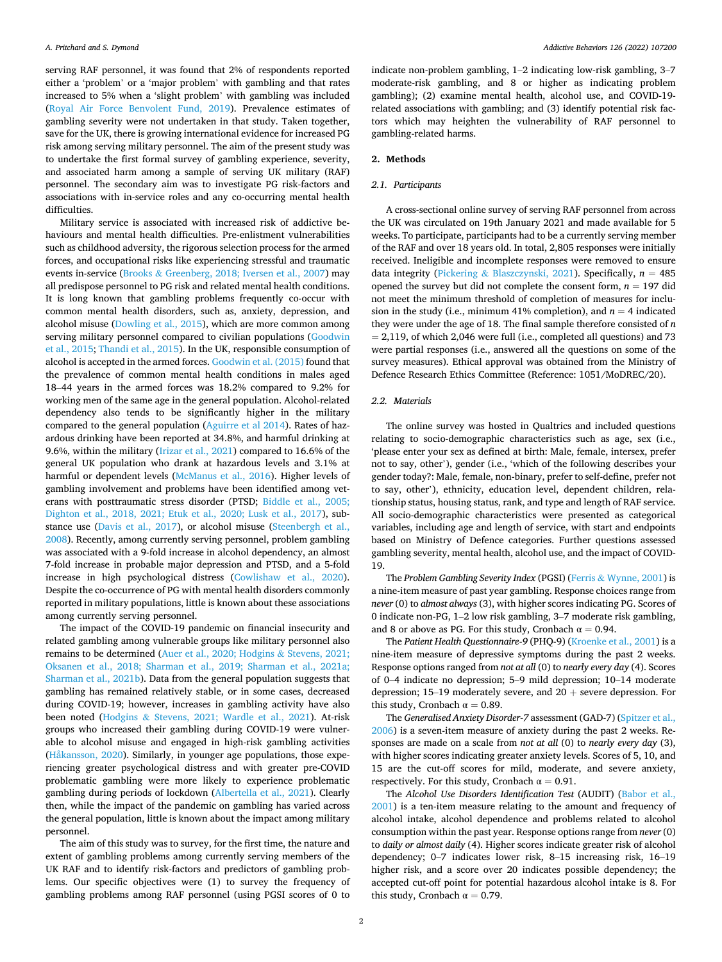serving RAF personnel, it was found that 2% of respondents reported either a 'problem' or a 'major problem' with gambling and that rates increased to 5% when a 'slight problem' with gambling was included ([Royal Air Force Benvolent Fund, 2019](#page-6-0)). Prevalence estimates of gambling severity were not undertaken in that study. Taken together, save for the UK, there is growing international evidence for increased PG risk among serving military personnel. The aim of the present study was to undertake the first formal survey of gambling experience, severity, and associated harm among a sample of serving UK military (RAF) personnel. The secondary aim was to investigate PG risk-factors and associations with in-service roles and any co-occurring mental health difficulties.

Military service is associated with increased risk of addictive behaviours and mental health difficulties. Pre-enlistment vulnerabilities such as childhood adversity, the rigorous selection process for the armed forces, and occupational risks like experiencing stressful and traumatic events in-service (Brooks & [Greenberg, 2018; Iversen et al., 2007](#page-6-0)) may all predispose personnel to PG risk and related mental health conditions. It is long known that gambling problems frequently co-occur with common mental health disorders, such as, anxiety, depression, and alcohol misuse ([Dowling et al., 2015\)](#page-6-0), which are more common among serving military personnel compared to civilian populations ([Goodwin](#page-6-0)  [et al., 2015](#page-6-0); [Thandi et al., 2015\)](#page-6-0). In the UK, responsible consumption of alcohol is accepted in the armed forces. [Goodwin et al. \(2015\)](#page-6-0) found that the prevalence of common mental health conditions in males aged 18–44 years in the armed forces was 18.2% compared to 9.2% for working men of the same age in the general population. Alcohol-related dependency also tends to be significantly higher in the military compared to the general population [\(Aguirre et al 2014](#page-6-0)). Rates of hazardous drinking have been reported at 34.8%, and harmful drinking at 9.6%, within the military ([Irizar et al., 2021](#page-6-0)) compared to 16.6% of the general UK population who drank at hazardous levels and 3.1% at harmful or dependent levels ([McManus et al., 2016](#page-6-0)). Higher levels of gambling involvement and problems have been identified among veterans with posttraumatic stress disorder (PTSD; [Biddle et al., 2005;](#page-6-0)  [Dighton et al., 2018, 2021; Etuk et al., 2020; Lusk et al., 2017\)](#page-6-0), substance use [\(Davis et al., 2017](#page-6-0)), or alcohol misuse [\(Steenbergh et al.,](#page-6-0)  [2008\)](#page-6-0). Recently, among currently serving personnel, problem gambling was associated with a 9-fold increase in alcohol dependency, an almost 7-fold increase in probable major depression and PTSD, and a 5-fold increase in high psychological distress [\(Cowlishaw et al., 2020](#page-6-0)). Despite the co-occurrence of PG with mental health disorders commonly reported in military populations, little is known about these associations among currently serving personnel.

The impact of the COVID-19 pandemic on financial insecurity and related gambling among vulnerable groups like military personnel also remains to be determined ([Auer et al., 2020; Hodgins](#page-6-0) & Stevens, 2021; [Oksanen et al., 2018; Sharman et al., 2019; Sharman et al., 2021a;](#page-6-0)  [Sharman et al., 2021b\)](#page-6-0). Data from the general population suggests that gambling has remained relatively stable, or in some cases, decreased during COVID-19; however, increases in gambling activity have also been noted (Hodgins & [Stevens, 2021; Wardle et al., 2021](#page-6-0)). At-risk groups who increased their gambling during COVID-19 were vulnerable to alcohol misuse and engaged in high-risk gambling activities ([Håkansson, 2020](#page-6-0)). Similarly, in younger age populations, those experiencing greater psychological distress and with greater pre-COVID problematic gambling were more likely to experience problematic gambling during periods of lockdown ([Albertella et al., 2021\)](#page-6-0). Clearly then, while the impact of the pandemic on gambling has varied across the general population, little is known about the impact among military personnel.

The aim of this study was to survey, for the first time, the nature and extent of gambling problems among currently serving members of the UK RAF and to identify risk-factors and predictors of gambling problems. Our specific objectives were (1) to survey the frequency of gambling problems among RAF personnel (using PGSI scores of 0 to

indicate non-problem gambling, 1–2 indicating low-risk gambling, 3–7 moderate-risk gambling, and 8 or higher as indicating problem gambling); (2) examine mental health, alcohol use, and COVID-19 related associations with gambling; and (3) identify potential risk factors which may heighten the vulnerability of RAF personnel to gambling-related harms.

#### **2. Methods**

#### *2.1. Participants*

A cross-sectional online survey of serving RAF personnel from across the UK was circulated on 19th January 2021 and made available for 5 weeks. To participate, participants had to be a currently serving member of the RAF and over 18 years old. In total, 2,805 responses were initially received. Ineligible and incomplete responses were removed to ensure data integrity (Pickering & [Blaszczynski, 2021\)](#page-6-0). Specifically,  $n = 485$ opened the survey but did not complete the consent form,  $n = 197$  did not meet the minimum threshold of completion of measures for inclusion in the study (i.e., minimum 41% completion), and  $n = 4$  indicated they were under the age of 18. The final sample therefore consisted of *n*   $= 2.119$ , of which 2,046 were full (i.e., completed all questions) and 73 were partial responses (i.e., answered all the questions on some of the survey measures). Ethical approval was obtained from the Ministry of Defence Research Ethics Committee (Reference: 1051/MoDREC/20).

## *2.2. Materials*

The online survey was hosted in Qualtrics and included questions relating to socio-demographic characteristics such as age, sex (i.e., 'please enter your sex as defined at birth: Male, female, intersex, prefer not to say, other'), gender (i.e., 'which of the following describes your gender today?: Male, female, non-binary, prefer to self-define, prefer not to say, other'), ethnicity, education level, dependent children, relationship status, housing status, rank, and type and length of RAF service. All socio-demographic characteristics were presented as categorical variables, including age and length of service, with start and endpoints based on Ministry of Defence categories. Further questions assessed gambling severity, mental health, alcohol use, and the impact of COVID-19.

The *Problem Gambling Severity Index* (PGSI) (Ferris & [Wynne, 2001](#page-6-0)) is a nine-item measure of past year gambling. Response choices range from *never* (0) to *almost always* (3), with higher scores indicating PG. Scores of 0 indicate non-PG, 1–2 low risk gambling, 3–7 moderate risk gambling, and 8 or above as PG. For this study, Cronbach  $\alpha = 0.94$ .

The *Patient Health Questionnaire-9* (PHQ-9) ([Kroenke et al., 2001](#page-6-0)) is a nine-item measure of depressive symptoms during the past 2 weeks. Response options ranged from *not at all* (0) to *nearly every day* (4). Scores of 0–4 indicate no depression; 5–9 mild depression; 10–14 moderate depression; 15–19 moderately severe, and  $20 +$  severe depression. For this study, Cronbach  $\alpha = 0.89$ .

The *Generalised Anxiety Disorder-7* assessment (GAD-7) [\(Spitzer et al.,](#page-6-0)  [2006\)](#page-6-0) is a seven-item measure of anxiety during the past 2 weeks. Responses are made on a scale from *not at all* (0) to *nearly every day* (3), with higher scores indicating greater anxiety levels. Scores of 5, 10, and 15 are the cut-off scores for mild, moderate, and severe anxiety, respectively. For this study, Cronbach  $\alpha = 0.91$ .

The *Alcohol Use Disorders Identification Test* (AUDIT) [\(Babor et al.,](#page-6-0)  [2001\)](#page-6-0) is a ten-item measure relating to the amount and frequency of alcohol intake, alcohol dependence and problems related to alcohol consumption within the past year. Response options range from *never* (0) to *daily or almost daily* (4). Higher scores indicate greater risk of alcohol dependency; 0–7 indicates lower risk, 8–15 increasing risk, 16–19 higher risk, and a score over 20 indicates possible dependency; the accepted cut-off point for potential hazardous alcohol intake is 8. For this study, Cronbach  $\alpha = 0.79$ .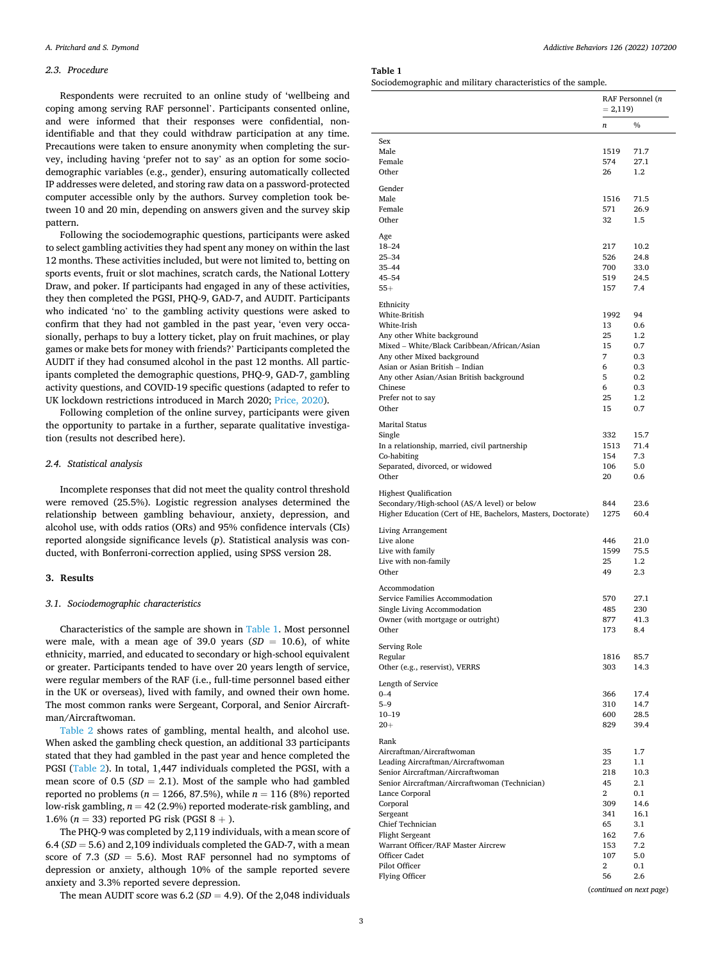## *2.3. Procedure*

Respondents were recruited to an online study of 'wellbeing and coping among serving RAF personnel'. Participants consented online, and were informed that their responses were confidential, nonidentifiable and that they could withdraw participation at any time. Precautions were taken to ensure anonymity when completing the survey, including having 'prefer not to say' as an option for some sociodemographic variables (e.g., gender), ensuring automatically collected IP addresses were deleted, and storing raw data on a password-protected computer accessible only by the authors. Survey completion took between 10 and 20 min, depending on answers given and the survey skip pattern.

Following the sociodemographic questions, participants were asked to select gambling activities they had spent any money on within the last 12 months. These activities included, but were not limited to, betting on sports events, fruit or slot machines, scratch cards, the National Lottery Draw, and poker. If participants had engaged in any of these activities, they then completed the PGSI, PHQ-9, GAD-7, and AUDIT. Participants who indicated 'no' to the gambling activity questions were asked to confirm that they had not gambled in the past year, 'even very occasionally, perhaps to buy a lottery ticket, play on fruit machines, or play games or make bets for money with friends?' Participants completed the AUDIT if they had consumed alcohol in the past 12 months. All participants completed the demographic questions, PHQ-9, GAD-7, gambling activity questions, and COVID-19 specific questions (adapted to refer to UK lockdown restrictions introduced in March 2020; [Price, 2020\)](#page-6-0).

Following completion of the online survey, participants were given the opportunity to partake in a further, separate qualitative investigation (results not described here).

# *2.4. Statistical analysis*

Incomplete responses that did not meet the quality control threshold were removed (25.5%). Logistic regression analyses determined the relationship between gambling behaviour, anxiety, depression, and alcohol use, with odds ratios (ORs) and 95% confidence intervals (CIs) reported alongside significance levels (*p*). Statistical analysis was conducted, with Bonferroni-correction applied, using SPSS version 28.

### **3. Results**

#### *3.1. Sociodemographic characteristics*

Characteristics of the sample are shown in Table 1. Most personnel were male, with a mean age of 39.0 years  $(SD = 10.6)$ , of white ethnicity, married, and educated to secondary or high-school equivalent or greater. Participants tended to have over 20 years length of service, were regular members of the RAF (i.e., full-time personnel based either in the UK or overseas), lived with family, and owned their own home. The most common ranks were Sergeant, Corporal, and Senior Aircraftman/Aircraftwoman.

[Table 2](#page-3-0) shows rates of gambling, mental health, and alcohol use. When asked the gambling check question, an additional 33 participants stated that they had gambled in the past year and hence completed the PGSI [\(Table 2](#page-3-0)). In total, 1,447 individuals completed the PGSI, with a mean score of  $0.5$  ( $SD = 2.1$ ). Most of the sample who had gambled reported no problems ( $n = 1266, 87.5\%$ ), while  $n = 116$  (8%) reported low-risk gambling,  $n = 42$  (2.9%) reported moderate-risk gambling, and 1.6% ( $n = 33$ ) reported PG risk (PGSI  $8 +$ ).

The PHQ-9 was completed by 2,119 individuals, with a mean score of 6.4 (*SD* = 5.6) and 2,109 individuals completed the GAD-7, with a mean score of 7.3 (*SD* = 5.6). Most RAF personnel had no symptoms of depression or anxiety, although 10% of the sample reported severe anxiety and 3.3% reported severe depression.

The mean AUDIT score was  $6.2$  ( $SD = 4.9$ ). Of the 2,048 individuals

# **Table 1**

Sociodemographic and military characteristics of the sample.

|                                                              | RAF Personnel (n<br>$= 2,119$ |                          |  |  |
|--------------------------------------------------------------|-------------------------------|--------------------------|--|--|
|                                                              | n                             | $\frac{0}{0}$            |  |  |
| Sex                                                          |                               |                          |  |  |
| Male                                                         | 1519                          | 71.7                     |  |  |
| Female                                                       | 574                           | 27.1                     |  |  |
| Other                                                        | 26                            | $1.2\,$                  |  |  |
| Gender                                                       |                               |                          |  |  |
| Male                                                         | 1516                          | 71.5                     |  |  |
| Female                                                       | 571                           | 26.9                     |  |  |
| Other                                                        | 32                            | 1.5                      |  |  |
| Age                                                          |                               |                          |  |  |
| $18 - 24$                                                    | 217                           | 10.2                     |  |  |
| $25 - 34$                                                    | 526                           | 24.8                     |  |  |
| $35 - 44$                                                    | 700                           | 33.0                     |  |  |
| $45 - 54$                                                    | 519                           | 24.5                     |  |  |
| $55+$                                                        | 157                           | 7.4                      |  |  |
| Ethnicity                                                    |                               |                          |  |  |
| White-British                                                | 1992                          | 94                       |  |  |
| White-Irish                                                  | 13                            | 0.6                      |  |  |
| Any other White background                                   | 25                            | 1.2                      |  |  |
| Mixed - White/Black Caribbean/African/Asian                  | 15                            | 0.7                      |  |  |
| Any other Mixed background                                   | 7                             | 0.3                      |  |  |
| Asian or Asian British - Indian                              | 6                             | 0.3                      |  |  |
| Any other Asian/Asian British background                     | 5                             | 0.2                      |  |  |
| Chinese                                                      | 6                             | 0.3                      |  |  |
| Prefer not to say                                            | 25                            | 1.2                      |  |  |
| Other                                                        | 15                            | 0.7                      |  |  |
|                                                              |                               |                          |  |  |
| <b>Marital Status</b>                                        |                               |                          |  |  |
| Single                                                       | 332                           | 15.7                     |  |  |
| In a relationship, married, civil partnership                | 1513                          | 71.4                     |  |  |
| Co-habiting                                                  | 154                           | 7.3                      |  |  |
| Separated, divorced, or widowed                              | 106                           | 5.0                      |  |  |
| Other                                                        | 20                            | 0.6                      |  |  |
| <b>Highest Qualification</b>                                 |                               |                          |  |  |
| Secondary/High-school (AS/A level) or below                  | 844                           | 23.6                     |  |  |
| Higher Education (Cert of HE, Bachelors, Masters, Doctorate) | 1275                          | 60.4                     |  |  |
|                                                              |                               |                          |  |  |
| Living Arrangement<br>Live alone                             | 446                           | 21.0                     |  |  |
|                                                              |                               |                          |  |  |
| Live with family                                             | 1599                          | 75.5                     |  |  |
| Live with non-family<br>Other                                | 25                            | 1.2                      |  |  |
|                                                              | 49                            | 2.3                      |  |  |
| Accommodation                                                |                               |                          |  |  |
| Service Families Accommodation                               | 570                           | 27.1                     |  |  |
| Single Living Accommodation                                  | 485                           | 230                      |  |  |
| Owner (with mortgage or outright)                            | 877                           | 41.3                     |  |  |
| Other                                                        | 173                           | 8.4                      |  |  |
| Serving Role                                                 |                               |                          |  |  |
| Regular                                                      | 1816                          | 85.7                     |  |  |
| Other (e.g., reservist), VERRS                               | 303                           | 14.3                     |  |  |
| Length of Service                                            |                               |                          |  |  |
| $0 - 4$                                                      | 366                           | 17.4                     |  |  |
| $5 - 9$                                                      | 310                           | 14.7                     |  |  |
| $10 - 19$                                                    | 600                           | 28.5                     |  |  |
| $20 +$                                                       | 829                           | 39.4                     |  |  |
|                                                              |                               |                          |  |  |
| Rank<br>Aircraftman/Aircraftwoman                            | 35                            | 1.7                      |  |  |
| Leading Aircraftman/Aircraftwoman                            |                               |                          |  |  |
|                                                              | 23<br>218                     | 1.1                      |  |  |
| Senior Aircraftman/Aircraftwoman                             |                               | 10.3                     |  |  |
| Senior Aircraftman/Aircraftwoman (Technician)                | 45                            | 2.1                      |  |  |
| Lance Corporal                                               | $\overline{2}$                | 0.1                      |  |  |
| Corporal                                                     | 309                           | 14.6                     |  |  |
| Sergeant                                                     | 341                           | 16.1                     |  |  |
| Chief Technician                                             | 65                            | 3.1                      |  |  |
| <b>Flight Sergeant</b>                                       | 162                           | 7.6                      |  |  |
| Warrant Officer/RAF Master Aircrew                           | 153                           | 7.2                      |  |  |
| Officer Cadet                                                | 107                           | 5.0                      |  |  |
| Pilot Officer                                                | $\overline{2}$                | 0.1                      |  |  |
| Flying Officer                                               | 56                            | 2.6                      |  |  |
|                                                              |                               | (continued on next page) |  |  |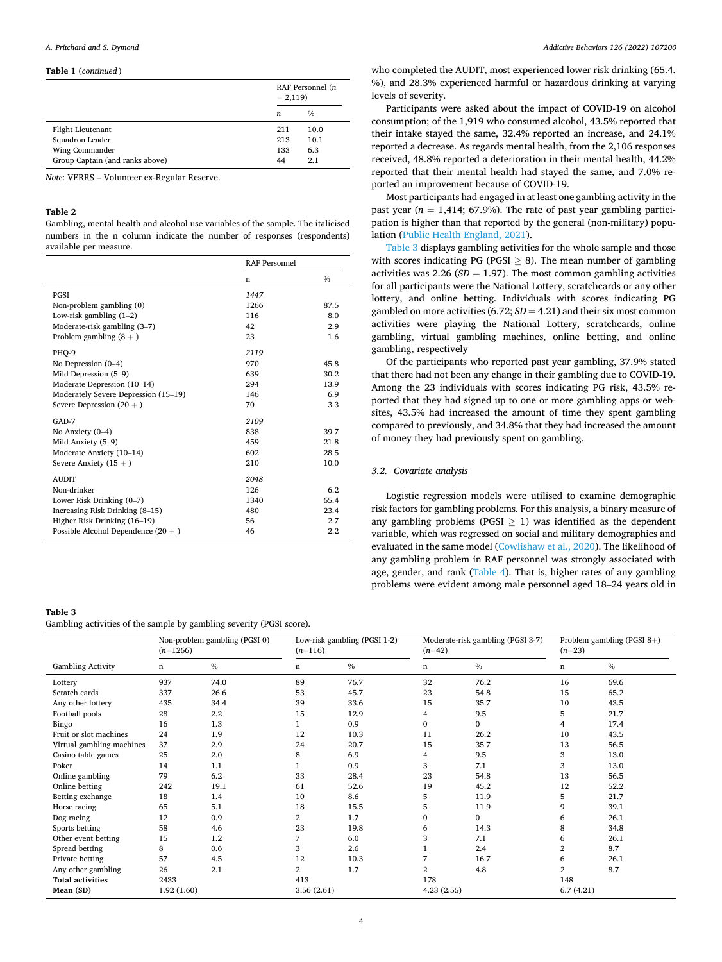#### <span id="page-3-0"></span>**Table 1** (*continued* )

|                                 |     | RAF Personnel (n<br>$= 2,119$ |  |  |
|---------------------------------|-----|-------------------------------|--|--|
|                                 | n   | $\frac{0}{0}$                 |  |  |
| Flight Lieutenant               | 211 | 10.0                          |  |  |
| Squadron Leader                 | 213 | 10.1                          |  |  |
| Wing Commander                  | 133 | 6.3                           |  |  |
| Group Captain (and ranks above) | 44  | 2.1                           |  |  |

*Note*: VERRS – Volunteer ex-Regular Reserve.

# **Table 2**

Gambling, mental health and alcohol use variables of the sample. The italicised numbers in the n column indicate the number of responses (respondents) available per measure.

|                                       | <b>RAF Personnel</b> |      |  |
|---------------------------------------|----------------------|------|--|
|                                       | n                    | $\%$ |  |
| PGSI                                  | 1447                 |      |  |
| Non-problem gambling (0)              | 1266                 | 87.5 |  |
| Low-risk gambling $(1-2)$             | 116                  | 8.0  |  |
| Moderate-risk gambling (3-7)          | 42                   | 2.9  |  |
| Problem gambling $(8 + )$             | 23                   | 1.6  |  |
| PHO-9                                 | 2119                 |      |  |
| No Depression $(0-4)$                 | 970                  | 45.8 |  |
| Mild Depression (5–9)                 | 639                  | 30.2 |  |
| Moderate Depression (10-14)           | 294                  | 13.9 |  |
| Moderately Severe Depression (15-19)  | 146                  | 6.9  |  |
| Severe Depression $(20 + )$           | 70                   | 3.3  |  |
| $GAD-7$                               | 2109                 |      |  |
| No Anxiety $(0-4)$                    | 838                  | 39.7 |  |
| Mild Anxiety (5-9)                    | 459                  | 21.8 |  |
| Moderate Anxiety (10-14)              | 602                  | 28.5 |  |
| Severe Anxiety $(15 + )$              | 210                  | 10.0 |  |
| <b>AUDIT</b>                          | 2048                 |      |  |
| Non-drinker                           | 126                  | 6.2  |  |
| Lower Risk Drinking (0-7)             | 1340                 | 65.4 |  |
| Increasing Risk Drinking (8-15)       | 480                  | 23.4 |  |
| Higher Risk Drinking (16-19)          | 56                   | 2.7  |  |
| Possible Alcohol Dependence $(20 + )$ | 46                   | 2.2  |  |

# **Table 3**  Gambling activities of the sample by gambling severity (PGSI score).

|                           | $(n=1266)$ | Non-problem gambling (PGSI 0) | $(n=116)$  | Low-risk gambling (PGSI 1-2) | $(n=42)$       | Moderate-risk gambling (PGSI 3-7) | Problem gambling (PGSI 8+)<br>$(n=23)$ |      |
|---------------------------|------------|-------------------------------|------------|------------------------------|----------------|-----------------------------------|----------------------------------------|------|
| <b>Gambling Activity</b>  | n          | $\frac{0}{0}$                 | n          | $\frac{0}{0}$                | n              | $\frac{0}{0}$                     | n                                      | $\%$ |
| Lottery                   | 937        | 74.0                          | 89         | 76.7                         | 32             | 76.2                              | 16                                     | 69.6 |
| Scratch cards             | 337        | 26.6                          | 53         | 45.7                         | 23             | 54.8                              | 15                                     | 65.2 |
| Any other lottery         | 435        | 34.4                          | 39         | 33.6                         | 15             | 35.7                              | 10                                     | 43.5 |
| Football pools            | 28         | 2.2                           | 15         | 12.9                         | 4              | 9.5                               | 5                                      | 21.7 |
| Bingo                     | 16         | 1.3                           |            | 0.9                          | 0              | $\mathbf{0}$                      | 4                                      | 17.4 |
| Fruit or slot machines    | 24         | 1.9                           | 12         | 10.3                         | 11             | 26.2                              | 10                                     | 43.5 |
| Virtual gambling machines | 37         | 2.9                           | 24         | 20.7                         | 15             | 35.7                              | 13                                     | 56.5 |
| Casino table games        | 25         | 2.0                           | 8          | 6.9                          | 4              | 9.5                               | 3                                      | 13.0 |
| Poker                     | 14         | 1.1                           |            | 0.9                          | 3              | 7.1                               | 3                                      | 13.0 |
| Online gambling           | 79         | 6.2                           | 33         | 28.4                         | 23             | 54.8                              | 13                                     | 56.5 |
| Online betting            | 242        | 19.1                          | 61         | 52.6                         | 19             | 45.2                              | 12                                     | 52.2 |
| Betting exchange          | 18         | 1.4                           | 10         | 8.6                          | 5              | 11.9                              | 5                                      | 21.7 |
| Horse racing              | 65         | 5.1                           | 18         | 15.5                         | 5              | 11.9                              | 9                                      | 39.1 |
| Dog racing                | 12         | 0.9                           | 2          | 1.7                          | 0              | $\mathbf{0}$                      | 6                                      | 26.1 |
| Sports betting            | 58         | 4.6                           | 23         | 19.8                         | 6              | 14.3                              | 8                                      | 34.8 |
| Other event betting       | 15         | 1.2                           | 7          | 6.0                          | 3              | 7.1                               | 6                                      | 26.1 |
| Spread betting            | 8          | 0.6                           | 3          | 2.6                          |                | 2.4                               | 2                                      | 8.7  |
| Private betting           | 57         | 4.5                           | 12         | 10.3                         | 7              | 16.7                              | 6                                      | 26.1 |
| Any other gambling        | 26         | 2.1                           | 2          | 1.7                          | $\overline{2}$ | 4.8                               | 2                                      | 8.7  |
| <b>Total activities</b>   | 2433       |                               | 413        |                              | 178            |                                   | 148                                    |      |
| Mean (SD)                 | 1.92(1.60) |                               | 3.56(2.61) |                              | 4.23(2.55)     |                                   | 6.7(4.21)                              |      |

who completed the AUDIT, most experienced lower risk drinking (65.4. %), and 28.3% experienced harmful or hazardous drinking at varying levels of severity.

Participants were asked about the impact of COVID-19 on alcohol consumption; of the 1,919 who consumed alcohol, 43.5% reported that their intake stayed the same, 32.4% reported an increase, and 24.1% reported a decrease. As regards mental health, from the 2,106 responses received, 48.8% reported a deterioration in their mental health, 44.2% reported that their mental health had stayed the same, and 7.0% reported an improvement because of COVID-19.

Most participants had engaged in at least one gambling activity in the past year ( $n = 1,414$ ; 67.9%). The rate of past year gambling participation is higher than that reported by the general (non-military) population [\(Public Health England, 2021](#page-6-0)).

Table 3 displays gambling activities for the whole sample and those with scores indicating  $PG (PGSI > 8)$ . The mean number of gambling activities was 2.26 ( $SD = 1.97$ ). The most common gambling activities for all participants were the National Lottery, scratchcards or any other lottery, and online betting. Individuals with scores indicating PG gambled on more activities  $(6.72; SD = 4.21)$  and their six most common activities were playing the National Lottery, scratchcards, online gambling, virtual gambling machines, online betting, and online gambling, respectively

Of the participants who reported past year gambling, 37.9% stated that there had not been any change in their gambling due to COVID-19. Among the 23 individuals with scores indicating PG risk, 43.5% reported that they had signed up to one or more gambling apps or websites, 43.5% had increased the amount of time they spent gambling compared to previously, and 34.8% that they had increased the amount of money they had previously spent on gambling.

# *3.2. Covariate analysis*

Logistic regression models were utilised to examine demographic risk factors for gambling problems. For this analysis, a binary measure of any gambling problems ( $PGSI > 1$ ) was identified as the dependent variable, which was regressed on social and military demographics and evaluated in the same model [\(Cowlishaw et al., 2020\)](#page-6-0). The likelihood of any gambling problem in RAF personnel was strongly associated with age, gender, and rank [\(Table 4\)](#page-4-0). That is, higher rates of any gambling problems were evident among male personnel aged 18–24 years old in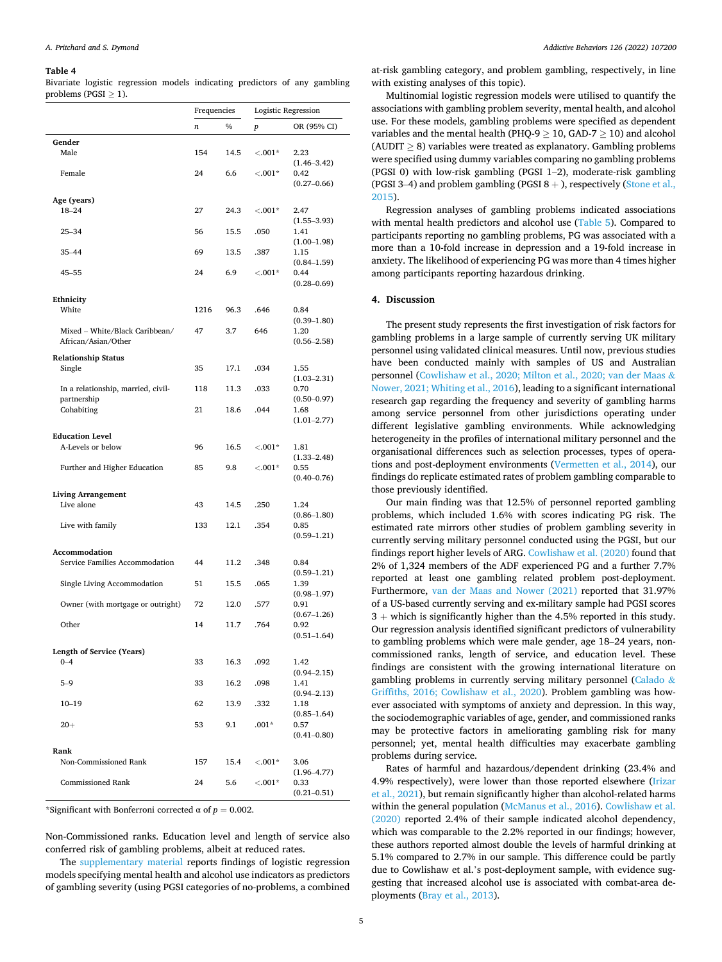#### <span id="page-4-0"></span>**Table 4**

Bivariate logistic regression models indicating predictors of any gambling problems (PGSI ≥ 1).

|                                                       | Frequencies |      | Logistic Regression |                                            |  |
|-------------------------------------------------------|-------------|------|---------------------|--------------------------------------------|--|
|                                                       | n           | $\%$ | $\boldsymbol{p}$    | OR (95% CI)                                |  |
| Gender                                                |             |      |                     |                                            |  |
| Male                                                  | 154         | 14.5 | $< 0.01*$           | 2.23                                       |  |
| Female                                                | 24          | 6.6  | $< 0.01*$           | $(1.46 - 3.42)$<br>0.42<br>$(0.27 - 0.66)$ |  |
| Age (years)                                           |             |      |                     |                                            |  |
| $18 - 24$                                             | 27          | 24.3 | $< 0.01*$           | 2.47                                       |  |
| $25 - 34$                                             | 56          | 15.5 | .050                | $(1.55 - 3.93)$<br>1.41<br>$(1.00-1.98)$   |  |
| $35 - 44$                                             | 69          | 13.5 | .387                | 1.15                                       |  |
| $45 - 55$                                             | 24          | 6.9  | $< 0.01*$           | $(0.84 - 1.59)$<br>0.44<br>$(0.28 - 0.69)$ |  |
| Ethnicity                                             |             |      |                     |                                            |  |
| White                                                 | 1216        | 96.3 | .646                | 0.84                                       |  |
| Mixed - White/Black Caribbean/<br>African/Asian/Other | 47          | 3.7  | 646                 | $(0.39 - 1.80)$<br>1.20<br>$(0.56 - 2.58)$ |  |
| <b>Relationship Status</b>                            |             |      |                     |                                            |  |
| Single                                                | 35          | 17.1 | .034                | 1.55                                       |  |
| In a relationship, married, civil-<br>partnership     | 118         | 11.3 | .033                | $(1.03 - 2.31)$<br>0.70<br>$(0.50 - 0.97)$ |  |
| Cohabiting                                            | 21          | 18.6 | .044                | 1.68<br>$(1.01 - 2.77)$                    |  |
| <b>Education Level</b>                                |             |      |                     |                                            |  |
| A-Levels or below                                     | 96          | 16.5 | $< 0.01*$           | 1.81                                       |  |
| Further and Higher Education                          | 85          | 9.8  | $< 0.01*$           | $(1.33 - 2.48)$<br>0.55<br>$(0.40 - 0.76)$ |  |
| <b>Living Arrangement</b>                             |             |      |                     |                                            |  |
| Live alone                                            | 43          | 14.5 | .250                | 1.24                                       |  |
| Live with family                                      | 133         | 12.1 | .354                | $(0.86 - 1.80)$<br>0.85<br>$(0.59 - 1.21)$ |  |
|                                                       |             |      |                     |                                            |  |
| Accommodation<br>Service Families Accommodation       | 44          | 11.2 | .348                | 0.84<br>$(0.59 - 1.21)$                    |  |
| Single Living Accommodation                           | 51          | 15.5 | .065                | 1.39                                       |  |
| Owner (with mortgage or outright)                     | 72          | 12.0 | .577                | $(0.98 - 1.97)$<br>0.91                    |  |
|                                                       |             |      |                     | $(0.67 - 1.26)$                            |  |
| Other                                                 | 14          | 11.7 | .764                | 0.92<br>$(0.51 - 1.64)$                    |  |
|                                                       |             |      |                     |                                            |  |
| <b>Length of Service (Years)</b><br>$0 - 4$           | 33          | 16.3 | .092                | 1.42<br>$(0.94 - 2.15)$                    |  |
| $5 - 9$                                               | 33          | 16.2 | .098                | 1.41<br>$(0.94 - 2.13)$                    |  |
| $10 - 19$                                             | 62          | 13.9 | .332                | 1.18                                       |  |
| $20 +$                                                | 53          | 9.1  | $.001*$             | $(0.85 - 1.64)$<br>0.57<br>$(0.41 - 0.80)$ |  |
| Rank                                                  |             |      |                     |                                            |  |
| Non-Commissioned Rank                                 | 157         | 15.4 | $< 0.01*$           | 3.06                                       |  |
| <b>Commissioned Rank</b>                              | 24          | 5.6  | $< 001*$            | $(1.96 - 4.77)$<br>0.33<br>$(0.21 - 0.51)$ |  |

\*Significant with Bonferroni corrected  $\alpha$  of  $p = 0.002$ .

Non-Commissioned ranks. Education level and length of service also conferred risk of gambling problems, albeit at reduced rates.

The supplementary material reports findings of logistic regression models specifying mental health and alcohol use indicators as predictors of gambling severity (using PGSI categories of no-problems, a combined

at-risk gambling category, and problem gambling, respectively, in line with existing analyses of this topic).

Multinomial logistic regression models were utilised to quantify the associations with gambling problem severity, mental health, and alcohol use. For these models, gambling problems were specified as dependent variables and the mental health (PHQ-9  $\geq$  10, GAD-7  $\geq$  10) and alcohol (AUDIT  $\geq$  8) variables were treated as explanatory. Gambling problems were specified using dummy variables comparing no gambling problems (PGSI 0) with low-risk gambling (PGSI 1–2), moderate-risk gambling (PGSI 3-4) and problem gambling (PGSI  $8 +$ ), respectively (Stone et al., [2015\)](#page-6-0).

Regression analyses of gambling problems indicated associations with mental health predictors and alcohol use [\(Table 5\)](#page-5-0). Compared to participants reporting no gambling problems, PG was associated with a more than a 10-fold increase in depression and a 19-fold increase in anxiety. The likelihood of experiencing PG was more than 4 times higher among participants reporting hazardous drinking.

# **4. Discussion**

The present study represents the first investigation of risk factors for gambling problems in a large sample of currently serving UK military personnel using validated clinical measures. Until now, previous studies have been conducted mainly with samples of US and Australian personnel [\(Cowlishaw et al., 2020; Milton et al., 2020; van der Maas](#page-6-0) & [Nower, 2021; Whiting et al., 2016\)](#page-6-0), leading to a significant international research gap regarding the frequency and severity of gambling harms among service personnel from other jurisdictions operating under different legislative gambling environments. While acknowledging heterogeneity in the profiles of international military personnel and the organisational differences such as selection processes, types of operations and post-deployment environments ([Vermetten et al., 2014\)](#page-6-0), our findings do replicate estimated rates of problem gambling comparable to those previously identified.

Our main finding was that 12.5% of personnel reported gambling problems, which included 1.6% with scores indicating PG risk. The estimated rate mirrors other studies of problem gambling severity in currently serving military personnel conducted using the PGSI, but our findings report higher levels of ARG. [Cowlishaw et al. \(2020\)](#page-6-0) found that 2% of 1,324 members of the ADF experienced PG and a further 7.7% reported at least one gambling related problem post-deployment. Furthermore, [van der Maas and Nower \(2021\)](#page-6-0) reported that 31.97% of a US-based currently serving and ex-military sample had PGSI scores  $3 +$  which is significantly higher than the 4.5% reported in this study. Our regression analysis identified significant predictors of vulnerability to gambling problems which were male gender, age 18–24 years, noncommissioned ranks, length of service, and education level. These findings are consistent with the growing international literature on gambling problems in currently serving military personnel ([Calado](#page-6-0) & [Griffiths, 2016; Cowlishaw et al., 2020\)](#page-6-0). Problem gambling was however associated with symptoms of anxiety and depression. In this way, the sociodemographic variables of age, gender, and commissioned ranks may be protective factors in ameliorating gambling risk for many personnel; yet, mental health difficulties may exacerbate gambling problems during service.

Rates of harmful and hazardous/dependent drinking (23.4% and 4.9% respectively), were lower than those reported elsewhere ([Irizar](#page-6-0)  [et al., 2021\)](#page-6-0), but remain significantly higher than alcohol-related harms within the general population [\(McManus et al., 2016](#page-6-0)). [Cowlishaw et al.](#page-6-0)  [\(2020\)](#page-6-0) reported 2.4% of their sample indicated alcohol dependency, which was comparable to the 2.2% reported in our findings; however, these authors reported almost double the levels of harmful drinking at 5.1% compared to 2.7% in our sample. This difference could be partly due to Cowlishaw et al.'s post-deployment sample, with evidence suggesting that increased alcohol use is associated with combat-area deployments [\(Bray et al., 2013](#page-6-0)).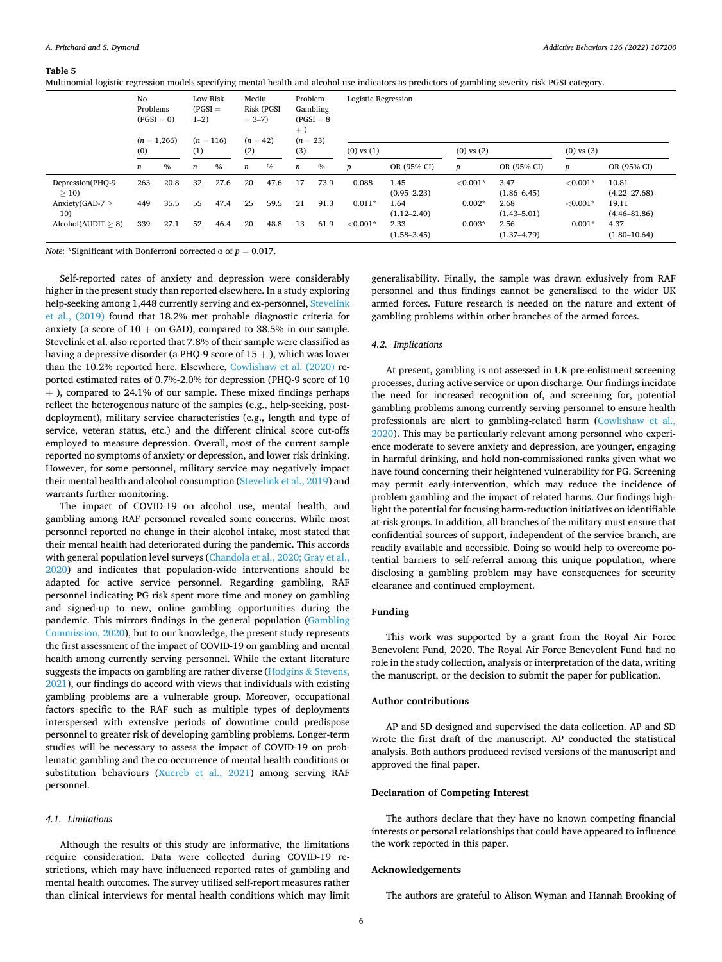<span id="page-5-0"></span>**Table 5** 

Multinomial logistic regression models specifying mental health and alcohol use indicators as predictors of gambling severity risk PGSI category.

|                          | No<br>Problems<br>$(PGSI = 0)$<br>$(n = 1,266)$ |      | Low Risk<br>$(PGSI =$<br>$1 - 2$<br>$(n = 116)$ |               | Mediu<br>Risk (PGSI<br>$= 3 - 7$<br>$(n = 42)$ |      | Problem<br>Gambling<br>$(PGSI = 8$<br>$+$ )<br>$(n = 23)$ |      | Logistic Regression |                         |                |                         |                |                           |  |
|--------------------------|-------------------------------------------------|------|-------------------------------------------------|---------------|------------------------------------------------|------|-----------------------------------------------------------|------|---------------------|-------------------------|----------------|-------------------------|----------------|---------------------------|--|
|                          | (0)                                             |      | (1)                                             |               | (2)                                            |      | (3)                                                       |      | $(0)$ vs $(1)$      |                         | $(0)$ vs $(2)$ |                         | $(0)$ vs $(3)$ |                           |  |
|                          | $\boldsymbol{n}$                                | $\%$ | $\boldsymbol{n}$                                | $\frac{0}{0}$ | $\boldsymbol{n}$                               | $\%$ | n                                                         | $\%$ | $\boldsymbol{p}$    | OR (95% CI)             | D              | OR (95% CI)             | p              | OR (95% CI)               |  |
| Depression(PHQ-9<br>> 10 | 263                                             | 20.8 | 32                                              | 27.6          | 20                                             | 47.6 | 17                                                        | 73.9 | 0.088               | 1.45<br>$(0.95 - 2.23)$ | ${<}0.001*$    | 3.47<br>$(1.86 - 6.45)$ | $< 0.001*$     | 10.81<br>$(4.22 - 27.68)$ |  |
| $Anxiety(GAD-7)$<br>10)  | 449                                             | 35.5 | 55                                              | 47.4          | 25                                             | 59.5 | 21                                                        | 91.3 | $0.011*$            | 1.64<br>$(1.12 - 2.40)$ | $0.002*$       | 2.68<br>$(1.43 - 5.01)$ | $< 0.001*$     | 19.11<br>$(4.46 - 81.86)$ |  |
| Alcohol(AUDIT > 8)       | 339                                             | 27.1 | 52                                              | 46.4          | 20                                             | 48.8 | 13                                                        | 61.9 | ${<}0.001*$         | 2.33<br>$(1.58 - 3.45)$ | $0.003*$       | 2.56<br>$(1.37 - 4.79)$ | $0.001*$       | 4.37<br>$(1.80 - 10.64)$  |  |

*Note*: \*Significant with Bonferroni corrected  $\alpha$  of  $p = 0.017$ .

Self-reported rates of anxiety and depression were considerably higher in the present study than reported elsewhere. In a study exploring help-seeking among 1,448 currently serving and ex-personnel, [Stevelink](#page-6-0)  [et al., \(2019\)](#page-6-0) found that 18.2% met probable diagnostic criteria for anxiety (a score of  $10 +$  on GAD), compared to 38.5% in our sample. Stevelink et al. also reported that 7.8% of their sample were classified as having a depressive disorder (a PHQ-9 score of  $15 +$  ), which was lower than the 10.2% reported here. Elsewhere, [Cowlishaw et al. \(2020\)](#page-6-0) reported estimated rates of 0.7%-2.0% for depression (PHQ-9 score of 10 + ), compared to 24.1% of our sample. These mixed findings perhaps reflect the heterogenous nature of the samples (e.g., help-seeking, postdeployment), military service characteristics (e.g., length and type of service, veteran status, etc.) and the different clinical score cut-offs employed to measure depression. Overall, most of the current sample reported no symptoms of anxiety or depression, and lower risk drinking. However, for some personnel, military service may negatively impact their mental health and alcohol consumption [\(Stevelink et al., 2019\)](#page-6-0) and warrants further monitoring.

The impact of COVID-19 on alcohol use, mental health, and gambling among RAF personnel revealed some concerns. While most personnel reported no change in their alcohol intake, most stated that their mental health had deteriorated during the pandemic. This accords with general population level surveys (Chandola et al., 2020; Gray et al., [2020\)](#page-6-0) and indicates that population-wide interventions should be adapted for active service personnel. Regarding gambling, RAF personnel indicating PG risk spent more time and money on gambling and signed-up to new, online gambling opportunities during the pandemic. This mirrors findings in the general population [\(Gambling](#page-6-0)  [Commission, 2020\)](#page-6-0), but to our knowledge, the present study represents the first assessment of the impact of COVID-19 on gambling and mental health among currently serving personnel. While the extant literature suggests the impacts on gambling are rather diverse [\(Hodgins](#page-6-0) & Stevens, [2021\)](#page-6-0), our findings do accord with views that individuals with existing gambling problems are a vulnerable group. Moreover, occupational factors specific to the RAF such as multiple types of deployments interspersed with extensive periods of downtime could predispose personnel to greater risk of developing gambling problems. Longer-term studies will be necessary to assess the impact of COVID-19 on problematic gambling and the co-occurrence of mental health conditions or substitution behaviours [\(Xuereb et al., 2021](#page-7-0)) among serving RAF personnel.

#### *4.1. Limitations*

Although the results of this study are informative, the limitations require consideration. Data were collected during COVID-19 restrictions, which may have influenced reported rates of gambling and mental health outcomes. The survey utilised self-report measures rather than clinical interviews for mental health conditions which may limit

generalisability. Finally, the sample was drawn exlusively from RAF personnel and thus findings cannot be generalised to the wider UK armed forces. Future research is needed on the nature and extent of gambling problems within other branches of the armed forces.

#### *4.2. Implications*

At present, gambling is not assessed in UK pre-enlistment screening processes, during active service or upon discharge. Our findings incidate the need for increased recognition of, and screening for, potential gambling problems among currently serving personnel to ensure health professionals are alert to gambling-related harm [\(Cowlishaw et al.,](#page-6-0)  [2020\)](#page-6-0). This may be particularly relevant among personnel who experience moderate to severe anxiety and depression, are younger, engaging in harmful drinking, and hold non-commissioned ranks given what we have found concerning their heightened vulnerability for PG. Screening may permit early-intervention, which may reduce the incidence of problem gambling and the impact of related harms. Our findings highlight the potential for focusing harm-reduction initiatives on identifiable at-risk groups. In addition, all branches of the military must ensure that confidential sources of support, independent of the service branch, are readily available and accessible. Doing so would help to overcome potential barriers to self-referral among this unique population, where disclosing a gambling problem may have consequences for security clearance and continued employment.

# **Funding**

This work was supported by a grant from the Royal Air Force Benevolent Fund, 2020. The Royal Air Force Benevolent Fund had no role in the study collection, analysis or interpretation of the data, writing the manuscript, or the decision to submit the paper for publication.

# **Author contributions**

AP and SD designed and supervised the data collection. AP and SD wrote the first draft of the manuscript. AP conducted the statistical analysis. Both authors produced revised versions of the manuscript and approved the final paper.

#### **Declaration of Competing Interest**

The authors declare that they have no known competing financial interests or personal relationships that could have appeared to influence the work reported in this paper.

## **Acknowledgements**

The authors are grateful to Alison Wyman and Hannah Brooking of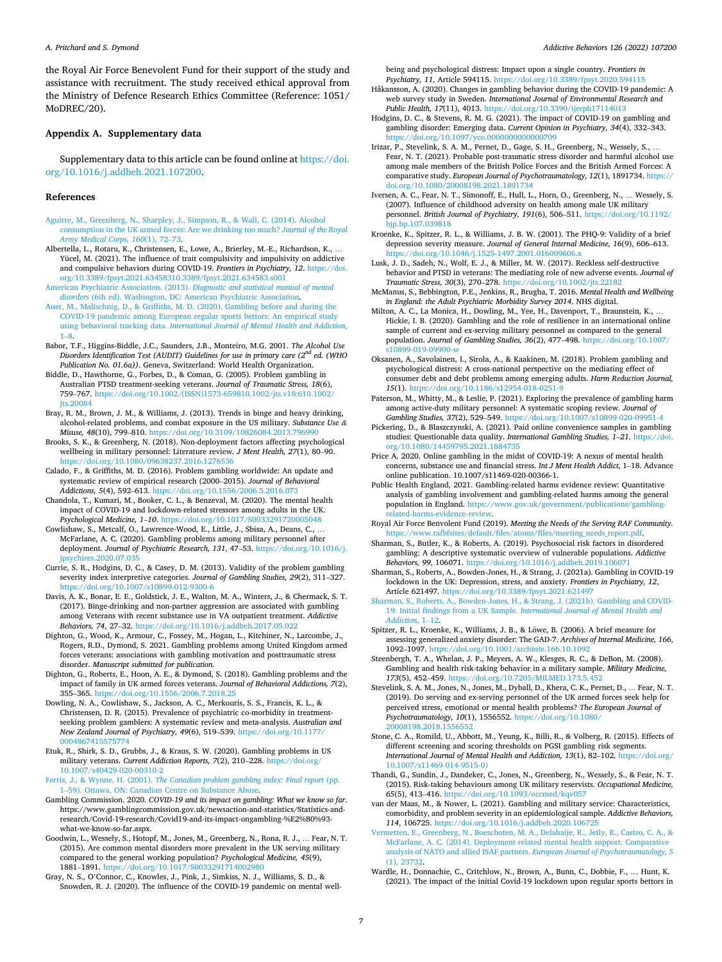<span id="page-6-0"></span>the Royal Air Force Benevolent Fund for their support of the study and assistance with recruitment. The study received ethical approval from the Ministry of Defence Research Ethics Committee (Reference: 1051/ MoDREC/20).

# **Appendix A. Supplementary data**

Supplementary data to this article can be found online at [https://doi.](https://doi.org/10.1016/j.addbeh.2021.107200)  [org/10.1016/j.addbeh.2021.107200](https://doi.org/10.1016/j.addbeh.2021.107200).

#### **References**

- [Aguirre, M., Greenberg, N., Sharpley, J., Simpson, R., & Wall, C. \(2014\). Alcohol](http://refhub.elsevier.com/S0306-4603(21)00385-3/h0005)  [consumption in the UK armed forces: Are we drinking too much?](http://refhub.elsevier.com/S0306-4603(21)00385-3/h0005) *Journal of the Royal [Army Medical Corps, 160](http://refhub.elsevier.com/S0306-4603(21)00385-3/h0005)*(1), 72–73.
- Albertella, L., Rotaru, K., Christensen, E., Lowe, A., Brierley, M.-E., Richardson, K., … Yücel, M. (2021). The influence of trait compulsivity and impulsivity on addictive and compulsive behaviors during COVID-19. *Frontiers in Psychiatry, 12*. [https://doi.](https://doi.org/10.3389/fpsyt.2021.63458310.3389/fpsyt.2021.634583.s001)  [org/10.3389/fpsyt.2021.63458310.3389/fpsyt.2021.634583.s001](https://doi.org/10.3389/fpsyt.2021.63458310.3389/fpsyt.2021.634583.s001)
- [American Psychiatric Association. \(2013\).](http://refhub.elsevier.com/S0306-4603(21)00385-3/h0015) *Diagnostic and statistical manual of mental disorders* [\(6th ed\). Washington, DC: American Psychiatric Association.](http://refhub.elsevier.com/S0306-4603(21)00385-3/h0015)
- [Auer, M., Malischnig, D., & Griffiths, M. D. \(2020\). Gambling before and during the](http://refhub.elsevier.com/S0306-4603(21)00385-3/h0020)  [COVID-19 pandemic among European regular sports bettors: An empirical study](http://refhub.elsevier.com/S0306-4603(21)00385-3/h0020)  using behavioral tracking data. *[International Journal of Mental Health and Addiction](http://refhub.elsevier.com/S0306-4603(21)00385-3/h0020)*, 1–[8.](http://refhub.elsevier.com/S0306-4603(21)00385-3/h0020)
- Babor, T.F., Higgins-Biddle, J.C., Saunders, J.B., Monteiro, M.G. 2001. *The Alcohol Use Disorders Identification Test (AUDIT) Guidelines for use in primary care (2nd ed. (WHO Publication No. 01.6a))*. Geneva, Switzerland: World Health Organization.
- Biddle, D., Hawthorne, G., Forbes, D., & Coman, G. (2005). Problem gambling in Australian PTSD treatment-seeking veterans. *Journal of Traumatic Stress, 18*(6), 759–767. [https://doi.org/10.1002/\(ISSN\)1573-659810.1002/jts.v18:610.1002/](https://doi.org/10.1002/(ISSN)1573-659810.1002/jts.v18:610.1002/jts.20084) its.20084
- Bray, R. M., Brown, J. M., & Williams, J. (2013). Trends in binge and heavy drinking, alcohol-related problems, and combat exposure in the US military. *Substance Use & Misuse, 48*(10), 799–810. <https://doi.org/10.3109/10826084.2013.796990>
- Brooks, S. K., & Greenberg, N. (2018). Non-deployment factors affecting psychological wellbeing in military personnel: Literature review. *J Ment Health, 27*(1), 80–90. <https://doi.org/10.1080/09638237.2016.1276536>
- Calado, F., & Griffiths, M. D. (2016). Problem gambling worldwide: An update and systematic review of empirical research (2000–2015). *Journal of Behavioral Addictions, 5*(4), 592–613. <https://doi.org/10.1556/2006.5.2016.073>
- Chandola, T., Kumari, M., Booker, C. L., & Benzeval, M. (2020). The mental health impact of COVID-19 and lockdown-related stressors among adults in the UK. *Psychological Medicine, 1*–*10*. <https://doi.org/10.1017/S0033291720005048>
- Cowlishaw, S., Metcalf, O., Lawrence-Wood, E., Little, J., Sbisa, A., Deans, C., … McFarlane, A. C. (2020). Gambling problems among military personnel after deployment. *Journal of Psychiatric Research, 131*, 47–53. [https://doi.org/10.1016/j.](https://doi.org/10.1016/j.jpsychires.2020.07.035)  [jpsychires.2020.07.035](https://doi.org/10.1016/j.jpsychires.2020.07.035)
- Currie, S. R., Hodgins, D. C., & Casey, D. M. (2013). Validity of the problem gambling severity index interpretive categories. *Journal of Gambling Studies, 29*(2), 311–327. <https://doi.org/10.1007/s10899-012-9300-6>
- Davis, A. K., Bonar, E. E., Goldstick, J. E., Walton, M. A., Winters, J., & Chermack, S. T. (2017). Binge-drinking and non-partner aggression are associated with gambling among Veterans with recent substance use in VA outpatient treatment. *Addictive Behaviors, 74*, 27–32. <https://doi.org/10.1016/j.addbeh.2017.05.022>
- Dighton, G., Wood, K., Armour, C., Fossey, M., Hogan, L., Kitchiner, N., Larcombe, J., Rogers, R.D., Dymond, S. 2021. Gambling problems among United Kingdom armed forces veterans: associations with gambling motivation and posttraumatic stress disorder. *Manuscript submitted for publication*.
- Dighton, G., Roberts, E., Hoon, A. E., & Dymond, S. (2018). Gambling problems and the impact of family in UK armed forces veterans. *Journal of Behavioral Addictions, 7*(2), 355–365. <https://doi.org/10.1556/2006.7.2018.25>
- Dowling, N. A., Cowlishaw, S., Jackson, A. C., Merkouris, S. S., Francis, K. L., & Christensen, D. R. (2015). Prevalence of psychiatric co-morbidity in treatmentseeking problem gamblers: A systematic review and meta-analysis. *Australian and New Zealand Journal of Psychiatry, 49*(6), 519–539. [https://doi.org/10.1177/](https://doi.org/10.1177/0004867415575774) [0004867415575774](https://doi.org/10.1177/0004867415575774)
- Etuk, R., Shirk, S. D., Grubbs, J., & Kraus, S. W. (2020). Gambling problems in US military veterans. *Current Addiction Reports, 7*(2), 210–228. [https://doi.org/](https://doi.org/10.1007/s40429-020-00310-2) [10.1007/s40429-020-00310-2](https://doi.org/10.1007/s40429-020-00310-2)
- Ferris, J., & Wynne, H. (2001). *[The Canadian problem gambling index: Final report](http://refhub.elsevier.com/S0306-4603(21)00385-3/h0095)* (pp. 1–[59\). Ottawa, ON: Canadian Centre on Substance Abuse](http://refhub.elsevier.com/S0306-4603(21)00385-3/h0095).
- Gambling Commission. 2020. *COVID-19 and its impact on gambling: What we know so far*. https://www.gamblingcommission.gov.uk/newsaction-and-statistics/Statistics-andresearch/Covid-19-research/Covid19-and-its-impact-ongambling-%E2%80%93 what-we-know-so-far.aspx.
- Goodwin, L., Wessely, S., Hotopf, M., Jones, M., Greenberg, N., Rona, R. J., … Fear, N. T. (2015). Are common mental disorders more prevalent in the UK serving military compared to the general working population? *Psychological Medicine, 45*(9), 1881–1891.<https://doi.org/10.1017/S0033291714002980>
- Gray, N. S., O'Connor, C., Knowles, J., Pink, J., Simkiss, N. J., Williams, S. D., & Snowden, R. J. (2020). The influence of the COVID-19 pandemic on mental well-

being and psychological distress: Impact upon a single country. *Frontiers in Psychiatry, 11*, Article 594115. <https://doi.org/10.3389/fpsyt.2020.594115>

- Håkansson, A. (2020). Changes in gambling behavior during the COVID-19 pandemic: A web survey study in Sweden. *International Journal of Environmental Research and Public Health, 17*(11), 4013. <https://doi.org/10.3390/ijerph17114013>
- Hodgins, D. C., & Stevens, R. M. G. (2021). The impact of COVID-19 on gambling and gambling disorder: Emerging data. *Current Opinion in Psychiatry, 34*(4), 332–343. <https://doi.org/10.1097/yco.0000000000000709>
- Irizar, P., Stevelink, S. A. M., Pernet, D., Gage, S. H., Greenberg, N., Wessely, S., … Fear, N. T. (2021). Probable post-traumatic stress disorder and harmful alcohol use among male members of the British Police Forces and the British Armed Forces: A comparative study. *European Journal of Psychotraumatology, 12*(1), 1891734. [https://](https://doi.org/10.1080/20008198.2021.1891734)  doi.org/10.1080/20008198.2021.1891
- Iversen, A. C., Fear, N. T., Simonoff, E., Hull, L., Horn, O., Greenberg, N., … Wessely, S. (2007). Influence of childhood adversity on health among male UK military personnel. *British Journal of Psychiatry, 191*(6), 506–511. [https://doi.org/10.1192/](https://doi.org/10.1192/bjp.bp.107.039818) **bip.bp.107.039818**
- Kroenke, K., Spitzer, R. L., & Williams, J. B. W. (2001). The PHQ-9: Validity of a brief depression severity measure. *Journal of General Internal Medicine, 16*(9), 606–613. <https://doi.org/10.1046/j.1525-1497.2001.016009606.x>
- Lusk, J. D., Sadeh, N., Wolf, E. J., & Miller, M. W. (2017). Reckless self-destructive behavior and PTSD in veterans: The mediating role of new adverse events. *Journal of Traumatic Stress, 30*(3), 270–278. <https://doi.org/10.1002/jts.22182>
- McManus, S., Bebbington, P.E., Jenkins, R., Brugha, T. 2016. *Mental Health and Wellbeing in England: the Adult Psychiatric Morbidity Survey 2014*. NHS digital.
- Milton, A. C., La Monica, H., Dowling, M., Yee, H., Davenport, T., Braunstein, K., … Hickie, I. B. (2020). Gambling and the role of resilience in an international online sample of current and ex-serving military personnel as compared to the general population. *Journal of Gambling Studies, 36*(2), 477–498. [https://doi.org/10.1007/](https://doi.org/10.1007/s10899-019-09900-w)  [s10899-019-09900-w](https://doi.org/10.1007/s10899-019-09900-w)
- Oksanen, A., Savolainen, I., Sirola, A., & Kaakinen, M. (2018). Problem gambling and psychological distress: A cross-national perspective on the mediating effect of consumer debt and debt problems among emerging adults. *Harm Reduction Journal, 15*(1). <https://doi.org/10.1186/s12954-018-0251-9>
- Paterson, M., Whitty, M., & Leslie, P. (2021). Exploring the prevalence of gambling harm among active-duty military personnel: A systematic scoping review. *Journal of Gambling Studies, 37*(2), 529–549. <https://doi.org/10.1007/s10899-020-09951-4>
- Pickering, D., & Blaszczynski, A. (2021). Paid online convenience samples in gambling studies: Questionable data quality. *International Gambling Studies, 1*–*21*. [https://doi.](https://doi.org/10.1080/14459795.2021.1884735)  [org/10.1080/14459795.2021.1884735](https://doi.org/10.1080/14459795.2021.1884735)
- Price A. 2020. Online gambling in the midst of COVID-19: A nexus of mental health concerns, substance use and financial stress. *Int J Ment Health Addict*, 1–18. Advance online publication. 10.1007/s11469-020-00366-1.
- Public Health England, 2021. Gambling-related harms evidence review: Quantitative analysis of gambling involvement and gambling-related harms among the general population in England. [https://www.gov.uk/government/publications/gambling](https://www.gov.uk/government/publications/gambling-related-harms-evidence-review)[related-harms-evidence-review.](https://www.gov.uk/government/publications/gambling-related-harms-evidence-review)
- Royal Air Force Benvolent Fund (2019). *Meeting the Needs of the Serving RAF Community.*  [https://www.rafbfsites/default/files/atoms/files/meeting\\_needs\\_report.pdf.](https://www.rafbfsites/default/files/atoms/files/meeting_needs_report.pdf)
- Sharman, S., Butler, K., & Roberts, A. (2019). Psychosocial risk factors in disordered gambling: A descriptive systematic overview of vulnerable populations. *Addictive Behaviors, 99*, 106071. <https://doi.org/10.1016/j.addbeh.2019.106071>
- Sharman, S., Roberts, A., Bowden-Jones, H., & Strang, J. (2021a). Gambling in COVID-19 lockdown in the UK: Depression, stress, and anxiety. *Frontiers in Psychiatry, 12*, Article 621497. <https://doi.org/10.3389/fpsyt.2021.621497>
- [Sharman, S., Roberts, A., Bowden-Jones, H., & Strang, J. \(2021b\). Gambling and COVID-](http://refhub.elsevier.com/S0306-4603(21)00385-3/h0200)19: Initial findings from a UK Sample. *[International Journal of Mental Health and](http://refhub.elsevier.com/S0306-4603(21)00385-3/h0200) [Addiction](http://refhub.elsevier.com/S0306-4603(21)00385-3/h0200)*, 1–12.
- Spitzer, R. L., Kroenke, K., Williams, J. B., & Löwe, B. (2006). A brief measure for assessing generalized anxiety disorder: The GAD-7. *Archives of Internal Medicine, 166*, 1092–1097.<https://doi.org/10.1001/archinte.166.10.1092>
- Steenbergh, T. A., Whelan, J. P., Meyers, A. W., Klesges, R. C., & DeBon, M. (2008). Gambling and health risk-taking behavior in a military sample. *Military Medicine, 173*(5), 452–459. <https://doi.org/10.7205/MILMED.173.5.452>
- Stevelink, S. A. M., Jones, N., Jones, M., Dyball, D., Khera, C. K., Pernet, D., ... Fear, N. T. (2019). Do serving and ex-serving personnel of the UK armed forces seek help for perceived stress, emotional or mental health problems? *The European Journal of Psychotraumatology, 10*(1), 1556552. [https://doi.org/10.1080/](https://doi.org/10.1080/20008198.2018.1556552) [20008198.2018.1556552](https://doi.org/10.1080/20008198.2018.1556552)
- Stone, C. A., Romild, U., Abbott, M., Yeung, K., Billi, R., & Volberg, R. (2015). Effects of different screening and scoring thresholds on PGSI gambling risk segments. *International Journal of Mental Health and Addiction, 13*(1), 82–102. [https://doi.org/](https://doi.org/10.1007/s11469-014-9515-0))  [10.1007/s11469-014-9515-0\)](https://doi.org/10.1007/s11469-014-9515-0))
- Thandi, G., Sundin, J., Dandeker, C., Jones, N., Greenberg, N., Wessely, S., & Fear, N. T. (2015). Risk-taking behaviours among UK military reservists. *Occupational Medicine, 65*(5), 413–416. <https://doi.org/10.1093/occmed/kqv057>
- van der Maas, M., & Nower, L. (2021). Gambling and military service: Characteristics, comorbidity, and problem severity in an epidemiological sample. *Addictive Behaviors, 114*, 106725. <https://doi.org/10.1016/j.addbeh.2020.106725>
- [Vermetten, E., Greenberg, N., Boeschoten, M. A., Delahaije, R., Jetly, R., Castro, C. A., &](http://refhub.elsevier.com/S0306-4603(21)00385-3/h0235)  [McFarlane, A. C. \(2014\). Deployment-related mental health support: Comparative](http://refhub.elsevier.com/S0306-4603(21)00385-3/h0235) [analysis of NATO and allied ISAF partners.](http://refhub.elsevier.com/S0306-4603(21)00385-3/h0235) *European Journal of Psychotraumatology, 5*  [\(1\), 23732.](http://refhub.elsevier.com/S0306-4603(21)00385-3/h0235)
- Wardle, H., Donnachie, C., Critchlow, N., Brown, A., Bunn, C., Dobbie, F., … Hunt, K. (2021). The impact of the initial Covid-19 lockdown upon regular sports bettors in